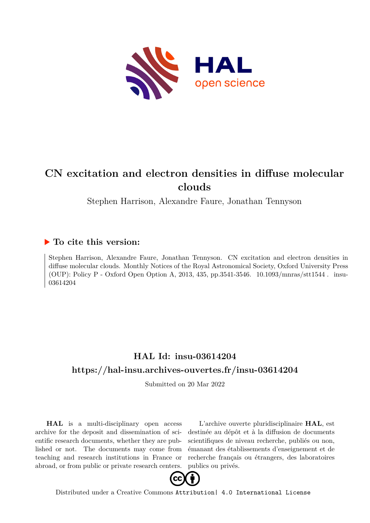

# **CN excitation and electron densities in diffuse molecular clouds**

Stephen Harrison, Alexandre Faure, Jonathan Tennyson

## **To cite this version:**

Stephen Harrison, Alexandre Faure, Jonathan Tennyson. CN excitation and electron densities in diffuse molecular clouds. Monthly Notices of the Royal Astronomical Society, Oxford University Press (OUP): Policy P - Oxford Open Option A, 2013, 435, pp.3541-3546.  $10.1093/mnras/stt1544$ . insu-03614204ff

## **HAL Id: insu-03614204 <https://hal-insu.archives-ouvertes.fr/insu-03614204>**

Submitted on 20 Mar 2022

**HAL** is a multi-disciplinary open access archive for the deposit and dissemination of scientific research documents, whether they are published or not. The documents may come from teaching and research institutions in France or abroad, or from public or private research centers.

L'archive ouverte pluridisciplinaire **HAL**, est destinée au dépôt et à la diffusion de documents scientifiques de niveau recherche, publiés ou non, émanant des établissements d'enseignement et de recherche français ou étrangers, des laboratoires publics ou privés.



Distributed under a Creative Commons [Attribution| 4.0 International License](http://creativecommons.org/licenses/by/4.0/)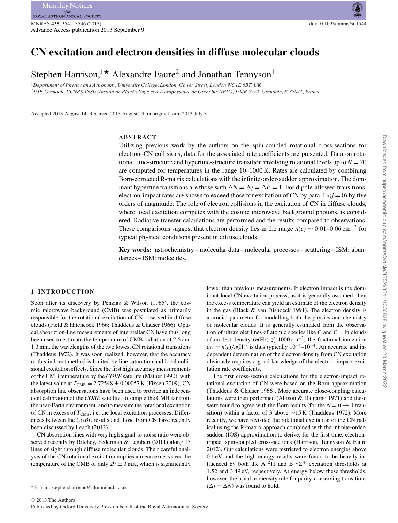## **CN excitation and electron densities in diffuse molecular clouds**

Stephen Harrison,<sup>1\*</sup> Alexandre Faure<sup>2</sup> and Jonathan Tennyson<sup>1</sup>

<sup>1</sup>*Department of Physics and Astronomy, University College, London, Gower Street, London WC1E 6BT, UK* <sup>2</sup>*UJF-Grenoble 1/CNRS-INSU, Institut de Planetologie et d'Astrophysique de Grenoble (IPAG) UMR 5274, Grenoble, F-38041, France ´*

Accepted 2013 August 14. Received 2013 August 13; in original form 2013 July 3

## **ABSTRACT**

Utilizing previous work by the authors on the spin-coupled rotational cross-sections for electron–CN collisions, data for the associated rate coefficients are presented. Data on rotational, fine-structure and hyperfine-structure transition involving rotational levels up to  $N = 20$ are computed for temperatures in the range 10–1000 K. Rates are calculated by combining Born-corrected R-matrix calculations with the infinite-order-sudden approximation. The dominant hyperfine transitions are those with  $\Delta N = \Delta j = \Delta F = 1$ . For dipole-allowed transitions,<br>electron-impact rates are shown to exceed those for excitation of CN by para-H- $(i = 0)$  by five electron-impact rates are shown to exceed those for excitation of CN by para- $H_2(j = 0)$  by five orders of magnitude. The role of electron collisions in the excitation of CN in diffuse clouds, where local excitation competes with the cosmic microwave background photons, is considered. Radiative transfer calculations are performed and the results compared to observations. These comparisons suggest that electron density lies in the range  $n(e) \sim 0.01-0.06 \text{ cm}^{-3}$  for typical physical conditions present in diffuse clouds.

**Key words:** astrochemistry – molecular data – molecular processes – scattering – ISM: abundances – ISM: molecules.

## **1 INTRODUCTION**

Soon after its discovery by Penzias & Wilson (1965), the cosmic microwave background (CMB) was postulated as primarily responsible for the rotational excitation of CN observed in diffuse clouds (Field & Hitchcock 1966; Thaddeus & Clauser 1966). Optical absorption-line measurements of interstellar CN have thus long been used to estimate the temperature of CMB radiation at 2.6 and 1.3 mm, the wavelengths of the two lowest CN rotational transitions (Thaddeus 1972). It was soon realized, however, that the accuracy of this indirect method is limited by line saturation and local collisional excitation effects. Since the first high accuracy measurements of the CMB temperature by the *COBE* satellite (Mather 1990), with the latest value at  $T_{\text{CMB}} = 2.72548 \pm 0.00057 \text{ K}$  (Fixsen 2009), CN absorption line observations have been used to provide an independent calibration of the *COBE* satellite, to sample the CMB far from the near-Earth environment, and to measure the rotational excitation of CN in excess of  $T_{\text{CMB}}$ , i.e. the local excitation processes. Differences between the *COBE* results and those from CN have recently been discussed by Leach (2012).

CN absorption lines with very high signal-to-noise ratio were observed recently by Ritchey, Federman & Lambert (2011) along 13 lines of sight through diffuse molecular clouds. Their careful analysis of the CN rotational excitation implies a mean excess over the temperature of the CMB of only  $29 \pm 3$  mK, which is significantly

E-mail: stephen.harrison@alumni.ucl.ac.uk

lower than previous measurements. If electron impact is the dominant local CN excitation process, as it is generally assumed, then the excess temperature can yield an estimate of the electron density in the gas (Black & van Dishoeck 1991). The electron density is a crucial parameter for modelling both the physics and chemistry of molecular clouds. It is generally estimated from the observation of ultraviolet lines of atomic species like C and  $C^+$ . In clouds of modest density ( $n(H_2) \lesssim 1000 \text{ cm}^{-3}$ ) the fractional ionization  $(x_e = n(e)/n(H_2)$  is thus typically  $10^{-5}$ – $10^{-4}$ . An accurate and independent determination of the electron density from CN excitation obviously requires a good knowledge of the electron-impact excitation rate coefficients.

The first cross-section calculations for the electron-impact rotational excitation of CN were based on the Born approximation (Thaddeus & Clauser 1966). More accurate close-coupling calculations were then performed (Allison & Dalgarno 1971) and these were found to agree with the Born results (for the  $N = 0 \rightarrow 1$  transition) within a factor of 3 above  $\sim$ 15 K (Thaddeus 1972). More recently, we have revisited the rotational excitation of the CN radical using the R-matrix approach combined with the infinite-ordersudden (IOS) approximation to derive, for the first time, electronimpact spin-coupled cross-sections (Harrison, Tennyson & Faure 2012). Our calculations were restricted to electron energies above 0.1 eV and the high energy results were found to be heavily influenced by both the A  ${}^{2}\Pi$  and B  ${}^{2}\Sigma^{+}$  excitation thresholds at 1.52 and 3.49 eV, respectively. At energy below these thresholds, however, the usual propensity rule for parity-conserving transitions  $(\Delta j = \Delta N)$  was found to hold.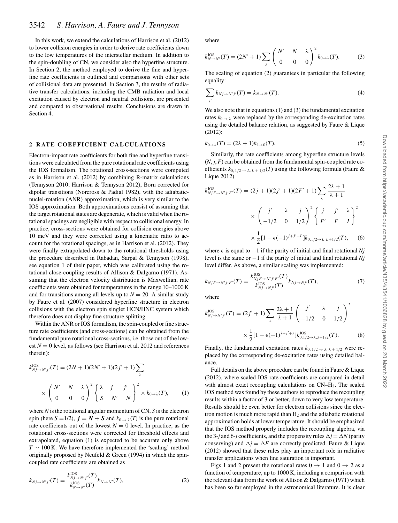## 3542 *S. Harrison, A. Faure and J. Tennyson*

In this work, we extend the calculations of Harrison et al. (2012) to lower collision energies in order to derive rate coefficients down to the low temperatures of the interstellar medium. In addition to the spin-doubling of CN, we consider also the hyperfine structure. In Section 2, the method employed to derive the fine and hyperfine rate coefficients is outlined and comparisons with other sets of collisional data are presented. In Section 3, the results of radiative transfer calculations, including the CMB radiation and local excitation caused by electron and neutral collisions, are presented and compared to observational results. Conclusions are drawn in Section 4.

### **2 RATE COEFFICIENT CALCULATIONS**

Electron-impact rate coefficients for both fine and hyperfine transitions were calculated from the pure rotational rate coefficients using the IOS formalism. The rotational cross-sections were computed as in Harrison et al. (2012) by combining R-matrix calculations (Tennyson 2010; Harrison & Tennyson 2012), Born corrected for dipolar transitions (Norcross & Padial 1982), with the adiabaticnuclei-rotation (ANR) approximation, which is very similar to the IOS approximation. Both approximations consist of assuming that the target rotational states are degenerate, which is valid when the rotational spacings are negligible with respect to collisional energy. In practice, cross-sections were obtained for collision energies above 10 meV and they were corrected using a kinematic ratio to account for the rotational spacings, as in Harrison et al. (2012). They were finally extrapolated down to the rotational thresholds using the procedure described in Rabadan, Sarpal & Tennyson (1998), see equation 1 of their paper, which was calibrated using the rotational close-coupling results of Allison & Dalgarno (1971). Assuming that the electron velocity distribution is Maxwellian, rate coefficients were obtained for temperatures in the range 10–1000 K and for transitions among all levels up to  $N = 20$ . A similar study by Faure et al. (2007) considered hyperfine structure in electron collisions with the electron spin singlet HCN/HNC system which therefore does not display fine structure splitting.

Within the ANR or IOS formalism, the spin-coupled or fine structure rate coefficients (and cross-sections) can be obtained from the fundamental pure rotational cross-sections, i.e. those out of the lowest  $N = 0$  level, as follows (see Harrison et al. 2012 and references therein):

$$
k_{Nj \to N'j'}^{10S}(T) = (2N+1)(2N'+1)(2j'+1) \sum_{\lambda}
$$
  
 
$$
\times \begin{pmatrix} N' & N & \lambda \\ 0 & 0 & 0 \end{pmatrix}^2 \begin{Bmatrix} \lambda & j & j' \\ S & N' & N \end{Bmatrix}^2 \times k_{0 \to \lambda}(T), \qquad (1)
$$

where *N* is the rotational angular momentum of CN, *S* is the electron spin (here  $S = 1/2$ ),  $j = N + S$  and  $k_{0 \to \lambda}(T)$  is the pure rotational rate coefficients out of the lowest  $N = 0$  level. In practice, as the rotational cross-sections were corrected for threshold effects and extrapolated, equation (1) is expected to be accurate only above *T* ∼ 100 K. We have therefore implemented the 'scaling' method originally proposed by Neufeld & Green (1994) in which the spincoupled rate coefficients are obtained as

$$
k_{Nj \to N'j'}(T) = \frac{k_{Nj \to N'j'}^{10S}(T)}{k_{N \to N'}^{10S}(T)} k_{N \to N'}(T),
$$
\n(2)

where

$$
k_{N \to N'}^{\text{LOS}}(T) = (2N' + 1) \sum_{\lambda} \begin{pmatrix} N' & N & \lambda \\ 0 & 0 & 0 \end{pmatrix}^2 k_{0 \to \lambda}(T). \tag{3}
$$

The scaling of equation (2) guarantees in particular the following equality:

$$
\sum_{j'} k_{Nj \to N'j'}(T) = k_{N \to N'}(T). \tag{4}
$$

We also note that in equations (1) and (3) the fundamental excitation rates  $k_0 \rightarrow \lambda$  were replaced by the corresponding de-excitation rates using the detailed balance relation, as suggested by Faure & Lique (2012):

$$
k_{0\to\lambda}(T) = (2\lambda + 1)k_{\lambda \to 0}(T). \tag{5}
$$

Similarly, the rate coefficients among hyperfine structure levels  $(N, j, F)$  can be obtained from the fundamental spin-coupled rate coefficients  $k_{0,1/2 \rightarrow L, L+1/2}(T)$  using the following formula (Faure & Lique 2012)

$$
k_{NjF \to N'j'F'}^{IOS}(T) = (2j+1)(2j'+1)(2F'+1)\sum_{\lambda} \frac{2\lambda+1}{\lambda+1}
$$

$$
\times \begin{pmatrix} j' & \lambda & j \\ -1/2 & 0 & 1/2 \end{pmatrix}^2 \begin{cases} j & j' & \lambda \\ F' & F & I \end{cases}^2
$$

$$
\times \frac{1}{2} [1 - \epsilon(-1)^{j+j'+L}] k_{0,1/2 \to L, L+1/2}(T), \quad (6)
$$

where  $\epsilon$  is equal to  $+1$  if the parity of initial and final rotational *Nj* level is the same or −1 if the parity of initial and final rotational *Nj* level differ. As above, a similar scaling was implemented:

$$
k_{NjF \to N'j'F'}(T) = \frac{k_{NjF \to N'j'F'}^{IOS}(T)}{k_{Nj \to Nj'}^{IOS}(T)} k_{Nj \to Nj'}(T),
$$
\n(7)

where

$$
k_{Nj \to N'j'}^{\text{LOS}}(T) = (2j' + 1) \sum_{\lambda} \frac{2\lambda + 1}{\lambda + 1} \begin{pmatrix} j' & \lambda & j \\ -1/2 & 0 & 1/2 \end{pmatrix}^2
$$

$$
\times \frac{1}{2} [1 - \epsilon (-1)^{j+j'+\lambda}] k_{0,1/2 \to \lambda, \lambda+1/2}^{\text{LOS}}(T). \tag{8}
$$

Finally, the fundamental excitation rates  $k_{0, 1/2 \rightarrow \lambda, \lambda + 1/2}$  were replaced by the corresponding de-excitation rates using detailed balance.

Full details on the above procedure can be found in Faure & Lique (2012), where scaled IOS rate coefficients are compared in detail with almost exact recoupling calculations on  $CN-H_2$ . The scaled IOS method was found by these authors to reproduce the recoupling results within a factor of 3 or better, down to very low temperature. Results should be even better for electron collisions since the electron motion is much more rapid than  $H_2$  and the adiabatic rotational approximation holds at lower temperature. It should be emphasized that the IOS method properly includes the recoupling algebra, via the 3-*j* and 6-*j* coefficients, and the propensity rules  $\Delta j = \Delta N$  (parity conserving) and  $\Delta i = \Delta F$  are correctly predicted. Faure  $\&$  I joue conserving) and  $\Delta j = \Delta F$  are correctly predicted. Faure & Lique (2012) showed that these rules play an important role in radiative (2012) showed that these rules play an important role in radiative transfer applications when line saturation is important.

Figs 1 and 2 present the rotational rates  $0 \rightarrow 1$  and  $0 \rightarrow 2$  as a function of temperature, up to 1000 K, including a comparison with the relevant data from the work of Allison & Dalgarno (1971) which has been so far employed in the astronomical literature. It is clear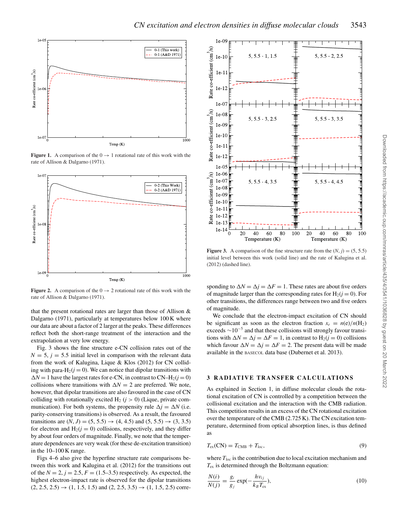

**Figure 1.** A comparison of the  $0 \rightarrow 1$  rotational rate of this work with the rate of Allison & Dalgarno (1971).



**Figure 2.** A comparison of the  $0 \rightarrow 2$  rotational rate of this work with the rate of Allison & Dalgarno (1971).

that the present rotational rates are larger than those of Allison & Dalgarno (1971), particularly at temperatures below 100 K where our data are about a factor of 2 larger at the peaks. These differences reflect both the short-range treatment of the interaction and the extrapolation at very low energy.

Fig. 3 shows the fine structure e-CN collision rates out of the  $N = 5$ ,  $j = 5.5$  initial level in comparison with the relevant data from the work of Kalugina, Lique & Klos (2012) for CN colliding with para-H<sub>2</sub> $(j = 0)$ . We can notice that dipolar transitions with collisions where transitions with  $\Delta N = 2$  are preferred. We note, however that dinoter transitions are also favoured in the case of CN  $\Delta N = 1$  have the largest rates for e-CN, in contrast to CN–H<sub>2</sub>(*j* = 0) however, that dipolar transitions are also favoured in the case of CN colliding with rotationally excited  $H_2$  ( $j > 0$ ) (Lique, private communication). For both systems, the propensity rule  $\Delta j = \Delta N$  (i.e.<br>parity-conserving transitions) is observed. As a result, the favoured parity-conserving transitions) is observed. As a result, the favoured transitions are  $(N, J) = (5, 5.5) \rightarrow (4, 4.5)$  and  $(5, 5.5) \rightarrow (3, 3.5)$ for electron and  $H_2(j = 0)$  collisions, respectively, and they differ by about four orders of magnitude. Finally, we note that the temperature dependences are very weak (for these de-excitation transition) in the 10–100 K range.

Figs 4–6 also give the hyperfine structure rate comparisons between this work and Kalugina et al. (2012) for the transitions out of the  $N = 2$ ,  $j = 2.5$ ,  $F = (1.5-3.5)$  respectively. As expected, the highest electron-impact rate is observed for the dipolar transitions  $(2, 2.5, 2.5) \rightarrow (1, 1.5, 1.5)$  and  $(2, 2.5, 3.5) \rightarrow (1, 1.5, 2.5)$  corre-



**Figure 3.** A comparison of the fine structure rate from the  $(N, j) = (5, 5.5)$ initial level between this work (solid line) and the rate of Kalugina et al. (2012) (dashed line).

sponding to  $\Delta N = \Delta j = \Delta F = 1$ . These rates are about five orders of magnitude larger than the corresponding rates for  $H_2(i = 0)$ . For of magnitude larger than the corresponding rates for  $H_2(j = 0)$ . For other transitions, the differences range between two and five orders of magnitude.

We conclude that the electron-impact excitation of CN should be significant as soon as the electron fraction  $x_e = n(e)/n(H_2)$ exceeds  $\sim$ 10<sup>-5</sup> and that these collisions will strongly favour transitions with  $\Delta N = \Delta j = \Delta F = 1$ , in contrast to  $H_2(j = 0)$  collisions<br>which favour  $\Delta N = \Delta i - \Delta F = 2$ . The present data will be made which favour  $\Delta N = \Delta j = \Delta F = 2$ . The present data will be made<br>available in the passcou data base (Dubernet et al. 2013) available in the BASECOL data base (Dubernet et al. 2013).

#### **3 RADIATIVE TRANSFER CALCULATIONS**

As explained in Section 1, in diffuse molecular clouds the rotational excitation of CN is controlled by a competition between the collisional excitation and the interaction with the CMB radiation. This competition results in an excess of the CN rotational excitation over the temperature of the CMB (2.725 K). The CN excitation temperature, determined from optical absorption lines, is thus defined as

$$
T_{\text{ex}}(\text{CN}) = T_{\text{CMB}} + T_{\text{loc}},\tag{9}
$$

where  $T_{\text{loc}}$  is the contribution due to local excitation mechanism and  $T_{\text{ex}}$  is determined through the Boltzmann equation:

$$
\frac{N(i)}{N(j)} = \frac{g_i}{g_j} \exp(-\frac{hv_{ij}}{k_B T_{\text{ex}}}),\tag{10}
$$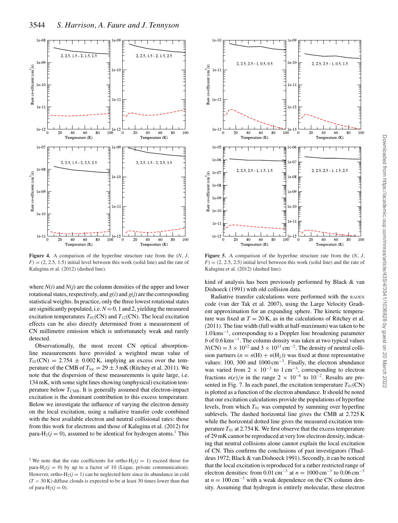

**Figure 4.** A comparison of the hyperfine structure rate from the (*N*, *J*,  $F$ ) = (2, 2.5, 1.5) initial level between this work (solid line) and the rate of Kalugina et al. (2012) (dashed line).

where  $N(i)$  and  $N(j)$  are the column densities of the upper and lower rotational states, respectively, and  $g(i)$  and  $g(j)$  are the corresponding statistical weights. In practice, only the three lowest rotational states are significantly populated, i.e.  $N = 0$ , 1 and 2, yielding the measured excitation temperatures  $T_{01}$ (CN) and  $T_{12}$ (CN). The local excitation effects can be also directly determined from a measurement of CN millimetre emission which is unfortunately weak and rarely detected.

Observationally, the most recent CN optical absorptionline measurements have provided a weighted mean value of  $T_{01}(\text{CN}) = 2.754 \pm 0.002 \text{ K}$ , implying an excess over the temperature of the CMB of  $T_{loc} = 29 \pm 3$  mK (Ritchey et al. 2011). We note that the dispersion of these measurements is quite large, i.e. 134 mK, with some sight lines showing (unphysical) excitation temperature below  $T_{\text{CMB}}$ . It is generally assumed that electron-impact excitation is the dominant contribution to this excess temperature. Below we investigate the influence of varying the electron density on the local excitation, using a radiative transfer code combined with the best available electron and neutral collisional rates: those from this work for electrons and those of Kalugina et al. (2012) for para-H<sub>2</sub>( $j = 0$ ), assumed to be identical for hydrogen atoms.<sup>1</sup> This



**Figure 5.** A comparison of the hyperfine structure rate from the (*N*, *J*,  $F$ ) = (2, 2.5, 2.5) initial level between this work (solid line) and the rate of Kalugina et al. (2012) (dashed line).

kind of analysis has been previously performed by Black & van Dishoeck (1991) with old collision data.

Radiative transfer calculations were performed with the RADEX code (van der Tak et al. 2007), using the Large Velocity Gradient approximation for an expanding sphere. The kinetic temperature was fixed at  $T = 20$  K, as in the calculations of Ritchey et al. (2011). The line width (full width at half-maximum) was taken to be 1.0 kms−1, corresponding to a Doppler line broadening parameter  $b$  of 0.6 kms<sup> $-1$ </sup>. The column density was taken at two typical values  $N(CN) = 3 \times 10^{12}$  and  $3 \times 10^{13}$  cm<sup>-2</sup>. The density of neutral collision partners  $(n = n(H) + n(H_2))$  was fixed at three representative values: 100, 300 and 1000 cm−3. Finally, the electron abundance was varied from  $2 \times 10^{-3}$  to  $1 \text{ cm}^{-3}$ , corresponding to electron fractions  $n(e)/n$  in the range  $2 \times 10^{-6}$  to  $10^{-2}$ . Results are presented in Fig. 7. In each panel, the excitation temperature  $T_{01}(CN)$ is plotted as a function of the electron abundance. It should be noted that our excitation calculations provide the populations of hyperfine levels, from which  $T_{01}$  was computed by summing over hyperfine sublevels. The dashed horizontal line gives the CMB at 2.725 K while the horizontal dotted line gives the measured excitation temperature  $T_{01}$  at 2.754 K. We first observe that the excess temperature of 29 mK cannot be reproduced at very low electron density, indicating that neutral collisions alone cannot explain the local excitation of CN. This confirms the conclusions of past investigators (Thaddeus 1972; Black & van Dishoeck 1991). Secondly, it can be noticed that the local excitation is reproduced for a rather restricted range of electron densities: from 0.01 cm<sup>-3</sup> at  $n = 1000$  cm<sup>-3</sup> to 0.06 cm<sup>-3</sup> at  $n = 100 \text{ cm}^{-3}$  with a weak dependence on the CN column density. Assuming that hydrogen is entirely molecular, these electron

<sup>&</sup>lt;sup>1</sup> We note that the rate coefficients for ortho-H<sub>2</sub>( $j = 1$ ) exceed those for para-H<sub>2</sub>( $j = 0$ ) by up to a factor of 10 (Lique, private communication). However, ortho-H<sub>2</sub> $(j = 1)$  can be neglected here since its abundance in cold  $(T < 30 \text{ K})$  diffuse clouds is expected to be at least 30 times lower than that of para- $H_2(j = 0)$ .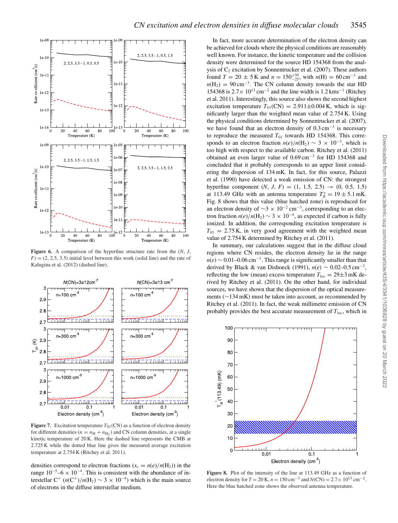

**Figure 6.** A comparison of the hyperfine structure rate from the (*N*, *J*,  $F$ ) = (2, 2.5, 3.5) initial level between this work (solid line) and the rate of Kalugina et al. (2012) (dashed line).



**Figure 7.** Excitation temperature  $T_{01}$ (CN) as a function of electron density for different densities ( $n = n<sub>H</sub> + n<sub>H2</sub>$ ) and CN column densities, at a single kinetic temperature of 20 K. Here the dashed line represents the CMB at 2.725 K while the dotted blue line gives the measured average excitation temperature at 2.754 K (Ritchey et al. 2011).

densities correspond to electron fractions ( $x_e = n(e)/n(H_2)$ ) in the range  $10^{-5}$ –6 ×  $10^{-4}$ . This is consistent with the abundance of interstellar  $C^+$  (*n*( $C^+$ )/*n*( $H_2$ ) ~ 3 × 10<sup>-4</sup>) which is the main source of electrons in the diffuse interstellar medium.

In fact, more accurate determination of the electron density can be achieved for clouds where the physical conditions are reasonably well known. For instance, the kinetic temperature and the collision density were determined for the source HD 154368 from the analysis of  $C_2$  excitation by Sonnentrucker et al. (2007). These authors found  $T = 20 \pm 5$  K and  $n = 150^{+50}_{-25}$ , with  $n(H) = 60 \text{ cm}^{-3}$  and  $n(H_0) = 90 \text{ cm}^{-3}$ . The CN column density towards the star HD  $n(H_2) = 90 \text{ cm}^{-3}$ . The CN column density towards the star HD 154368 is  $2.7 \times 10^{13}$  cm<sup>-2</sup> and the line width is 1.2 kms<sup>-1</sup> (Ritchey et al. 2011). Interestingly, this source also shows the second highest excitation temperature  $T_{01}$ (CN) = 2.911±0.004 K, which is significantly larger than the weighted mean value of 2.754 K. Using the physical conditions determined by Sonnentrucker et al. (2007), we have found that an electron density of  $0.3 \text{ cm}^{-3}$  is necessary to reproduce the measured  $T_{01}$  towards HD 154368. This corresponds to an electron fraction  $n(e)/n(H_2) \sim 3 \times 10^{-3}$ , which is too high with respect to the available carbon. Ritchey et al. (2011) obtained an even larger value of 0.69 cm−<sup>3</sup> for HD 154368 and concluded that it probably corresponds to an upper limit considering the dispersion of 134 mK. In fact, for this source, Palazzi et al. (1990) have detected a weak emission of CN: the strongest hyperfine component  $(N, J, F) = (1, 1.5, 2.5) \rightarrow (0, 0.5, 1.5)$ at 113.49 GHz with an antenna temperature  $T_R^* = 19 \pm 5.1$  mK.<br>Fig. 8 shows that this value (blue hatched zone) is reproduced for Fig. 8 shows that this value (blue hatched zone) is reproduced for an electron density of  $\sim$ 3 × 10<sup>-2</sup> cm<sup>-3</sup>, corresponding to an electron fraction  $n(e)/n(H_2) \sim 3 \times 10^{-4}$ , as expected if carbon is fully ionized. In addition, the corresponding excitation temperature is  $T_{01}$  = 2.75 K, in very good agreement with the weighted mean value of 2.754 K determined by Ritchey et al. (2011).

In summary, our calculations suggest that in the diffuse cloud regions where CN resides, the electron density lie in the range  $n(e) \sim 0.01 - 0.06$  cm<sup>-3</sup>. This range is significantly smaller than that derived by Black & van Dishoeck (1991),  $n(e) \sim 0.02 - 0.5$  cm<sup>-3</sup>, reflecting the low (mean) excess temperature  $T_{loc} = 29 \pm 3 \text{ mK}$  derived by Ritchey et al. (2011). On the other hand, for individual sources, we have shown that the dispersion of the optical measurements (∼134 mK) must be taken into account, as recommended by Ritchey et al. (2011). In fact, the weak millimetre emission of CN probably provides the best accurate measurement of  $T_{\text{loc}}$ , which in



**Figure 8.** Plot of the intensity of the line at 113.49 GHz as a function of electron density for  $T = 20$  K,  $n = 150$  cm<sup>-3</sup> and  $N(CN) = 2.7 \times 10^{13}$  cm<sup>-2</sup>. Here the blue hatched zone shows the observed antenna temperature.